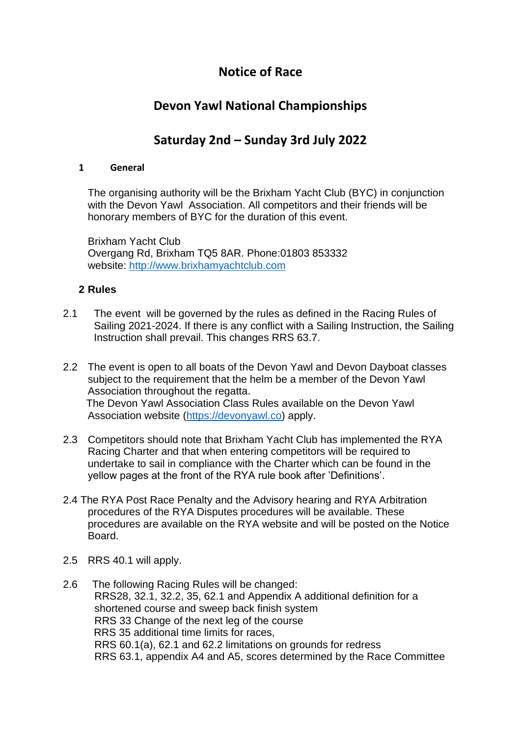# **Notice of Race**

# **Devon Yawl National Championships**

# **Saturday 2nd – Sunday 3rd July 2022**

### **1 General**

The organising authority will be the Brixham Yacht Club (BYC) in conjunction with the Devon Yawl Association. All competitors and their friends will be honorary members of BYC for the duration of this event.

Brixham Yacht Club Overgang Rd, Brixham TQ5 8AR. Phone:01803 853332 website: [http://www.brixhamyachtclub.com](http://www.brixhamyachtclub.com/)

# **2 Rules**

- 2.1 The event will be governed by the rules as defined in the Racing Rules of Sailing 2021-2024. If there is any conflict with a Sailing Instruction, the Sailing Instruction shall prevail. This changes RRS 63.7.
- 2.2 The event is open to all boats of the Devon Yawl and Devon Dayboat classes subject to the requirement that the helm be a member of the Devon Yawl Association throughout the regatta. The Devon Yawl Association Class Rules available on the Devon Yawl Association website [\(https://devonyawl.co\)](https://devonyawl.co/) apply.
- 2.3 Competitors should note that Brixham Yacht Club has implemented the RYA Racing Charter and that when entering competitors will be required to undertake to sail in compliance with the Charter which can be found in the yellow pages at the front of the RYA rule book after 'Definitions'.
- 2.4 The RYA Post Race Penalty and the Advisory hearing and RYA Arbitration procedures of the RYA Disputes procedures will be available. These procedures are available on the RYA website and will be posted on the Notice Board.
- 2.5 RRS 40.1 will apply.
- 2.6 The following Racing Rules will be changed: RRS28, 32.1, 32.2, 35, 62.1 and Appendix A additional definition for a shortened course and sweep back finish system RRS 33 Change of the next leg of the course RRS 35 additional time limits for races, RRS 60.1(a), 62.1 and 62.2 limitations on grounds for redress RRS 63.1, appendix A4 and A5, scores determined by the Race Committee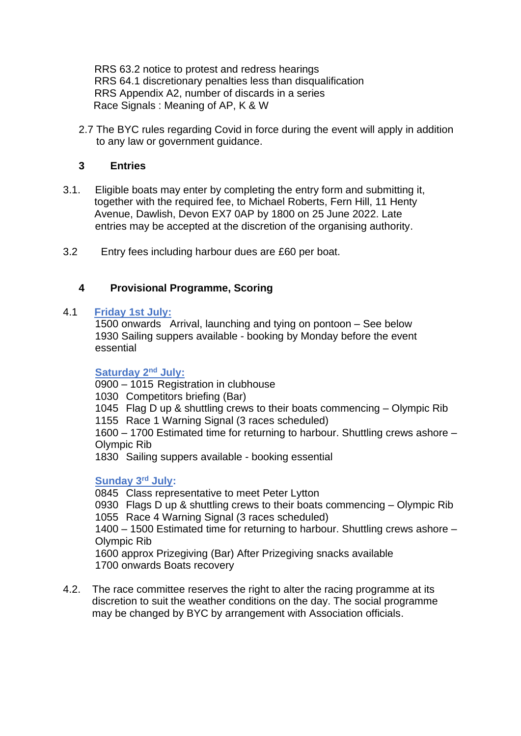RRS 63.2 notice to protest and redress hearings RRS 64.1 discretionary penalties less than disqualification RRS Appendix A2, number of discards in a series Race Signals : Meaning of AP, K & W

2.7 The BYC rules regarding Covid in force during the event will apply in addition to any law or government guidance.

### **3 Entries**

- 3.1.Eligible boats may enter by completing the entry form and submitting it, together with the required fee, to Michael Roberts, Fern Hill, 11 Henty Avenue, Dawlish, Devon EX7 0AP by 1800 on 25 June 2022. Late entries may be accepted at the discretion of the organising authority.
- 3.2 Entry fees including harbour dues are £60 per boat.

# **4 Provisional Programme, Scoring**

#### 4.1 **Friday 1st July:**

 1500 onwards Arrival, launching and tying on pontoon – See below 1930 Sailing suppers available - booking by Monday before the event essential

#### **Saturday** 2<sup>nd</sup> July:

0900 – 1015 Registration in clubhouse

1030 Competitors briefing (Bar)

1045 Flag D up & shuttling crews to their boats commencing – Olympic Rib

1155 Race 1 Warning Signal (3 races scheduled)

 1600 – 1700 Estimated time for returning to harbour. Shuttling crews ashore – Olympic Rib

1830 Sailing suppers available - booking essential

### **Sunday 3 rd July:**

0845 Class representative to meet Peter Lytton

 0930 Flags D up & shuttling crews to their boats commencing – Olympic Rib 1055 Race 4 Warning Signal (3 races scheduled)

 1400 – 1500 Estimated time for returning to harbour. Shuttling crews ashore – Olympic Rib

 1600 approx Prizegiving (Bar) After Prizegiving snacks available 1700 onwards Boats recovery

4.2. The race committee reserves the right to alter the racing programme at its discretion to suit the weather conditions on the day. The social programme may be changed by BYC by arrangement with Association officials.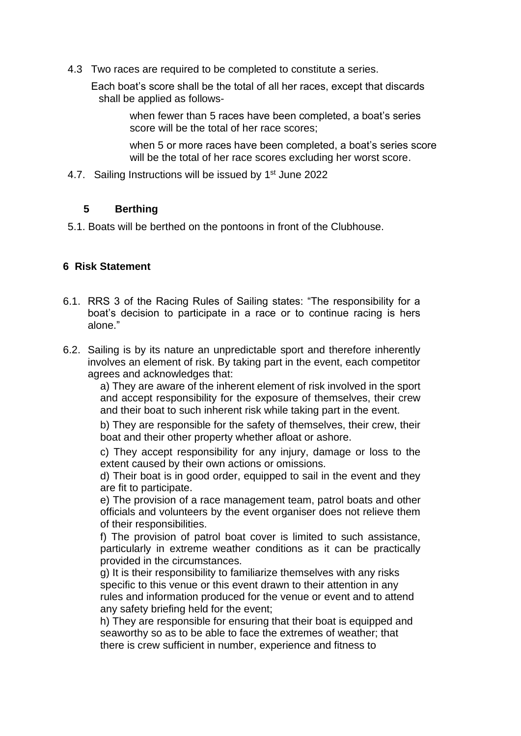4.3 Two races are required to be completed to constitute a series.

 Each boat's score shall be the total of all her races, except that discards shall be applied as follows-

> when fewer than 5 races have been completed, a boat's series score will be the total of her race scores;

when 5 or more races have been completed, a boat's series score will be the total of her race scores excluding her worst score.

4.7. Sailing Instructions will be issued by 1<sup>st</sup> June 2022

# **5 Berthing**

5.1. Boats will be berthed on the pontoons in front of the Clubhouse.

# **6 Risk Statement**

- 6.1. RRS 3 of the Racing Rules of Sailing states: "The responsibility for a boat's decision to participate in a race or to continue racing is hers alone."
- 6.2. Sailing is by its nature an unpredictable sport and therefore inherently involves an element of risk. By taking part in the event, each competitor agrees and acknowledges that:

a) They are aware of the inherent element of risk involved in the sport and accept responsibility for the exposure of themselves, their crew and their boat to such inherent risk while taking part in the event.

b) They are responsible for the safety of themselves, their crew, their boat and their other property whether afloat or ashore.

c) They accept responsibility for any injury, damage or loss to the extent caused by their own actions or omissions.

d) Their boat is in good order, equipped to sail in the event and they are fit to participate.

e) The provision of a race management team, patrol boats and other officials and volunteers by the event organiser does not relieve them of their responsibilities.

f) The provision of patrol boat cover is limited to such assistance, particularly in extreme weather conditions as it can be practically provided in the circumstances.

g) It is their responsibility to familiarize themselves with any risks specific to this venue or this event drawn to their attention in any rules and information produced for the venue or event and to attend any safety briefing held for the event;

h) They are responsible for ensuring that their boat is equipped and seaworthy so as to be able to face the extremes of weather; that there is crew sufficient in number, experience and fitness to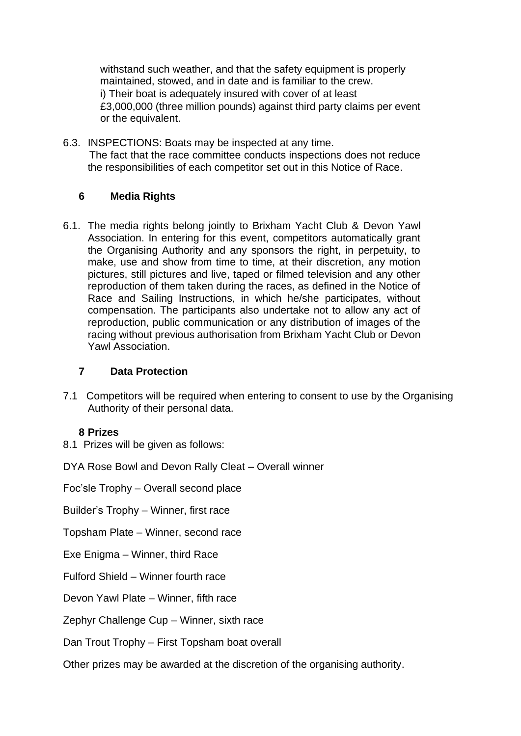withstand such weather, and that the safety equipment is properly maintained, stowed, and in date and is familiar to the crew. i) Their boat is adequately insured with cover of at least £3,000,000 (three million pounds) against third party claims per event or the equivalent.

6.3. INSPECTIONS: Boats may be inspected at any time. The fact that the race committee conducts inspections does not reduce the responsibilities of each competitor set out in this Notice of Race.

# **6 Media Rights**

6.1. The media rights belong jointly to Brixham Yacht Club & Devon Yawl Association. In entering for this event, competitors automatically grant the Organising Authority and any sponsors the right, in perpetuity, to make, use and show from time to time, at their discretion, any motion pictures, still pictures and live, taped or filmed television and any other reproduction of them taken during the races, as defined in the Notice of Race and Sailing Instructions, in which he/she participates, without compensation. The participants also undertake not to allow any act of reproduction, public communication or any distribution of images of the racing without previous authorisation from Brixham Yacht Club or Devon Yawl Association.

### **7 Data Protection**

7.1 Competitors will be required when entering to consent to use by the Organising Authority of their personal data.

### **8 Prizes**

8.1 Prizes will be given as follows:

DYA Rose Bowl and Devon Rally Cleat – Overall winner

Foc'sle Trophy – Overall second place

Builder's Trophy – Winner, first race

Topsham Plate – Winner, second race

Exe Enigma – Winner, third Race

Fulford Shield – Winner fourth race

Devon Yawl Plate – Winner, fifth race

Zephyr Challenge Cup – Winner, sixth race

Dan Trout Trophy – First Topsham boat overall

Other prizes may be awarded at the discretion of the organising authority.